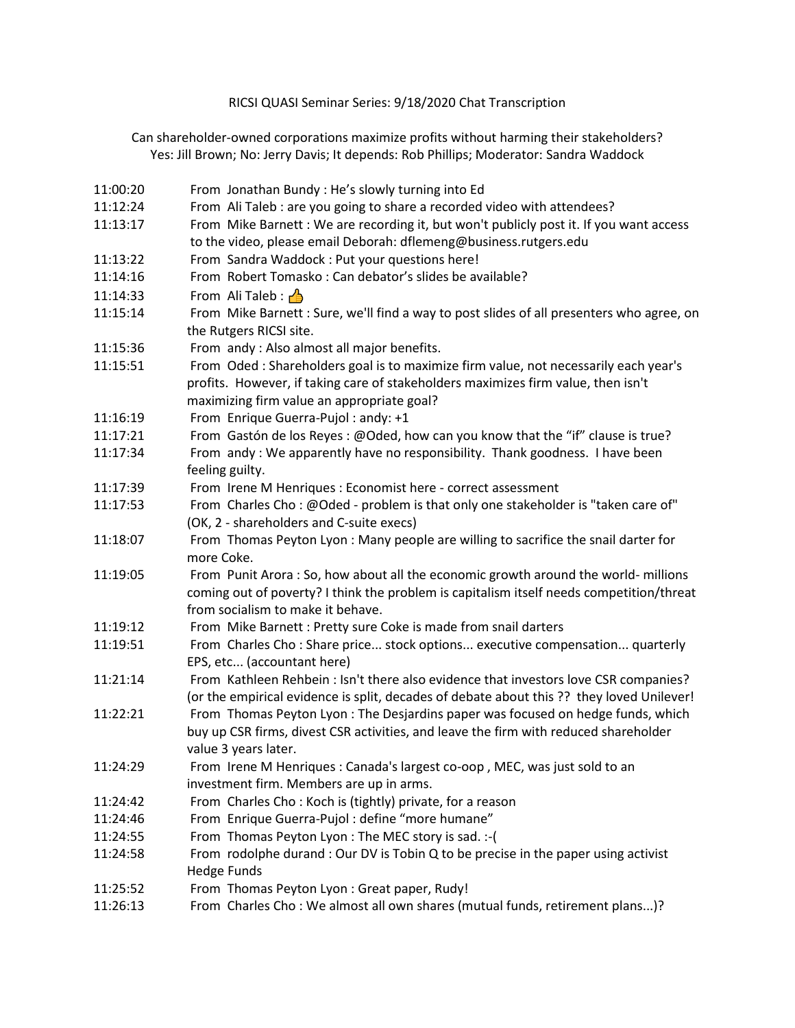## RICSI QUASI Seminar Series: 9/18/2020 Chat Transcription

Can shareholder-owned corporations maximize profits without harming their stakeholders? Yes[: Jill Brown;](https://faculty.bentley.edu/details.asp?uname=jbrown) No: [Jerry Davis;](https://michiganross.umich.edu/faculty-research/faculty/jerry-davis) It depends: [Rob Phillips;](https://schulich.yorku.ca/faculty/robert-phillips/) Moderator[: Sandra Waddock](https://www.bc.edu/bc-web/schools/carroll-school/faculty-research/faculty-directory/sandra-waddock.html)

11:00:20 From Jonathan Bundy : He's slowly turning into Ed 11:12:24 From Ali Taleb : are you going to share a recorded video with attendees? 11:13:17 From Mike Barnett : We are recording it, but won't publicly post it. If you want access to the video, please email Deborah: dflemeng@business.rutgers.edu 11:13:22 From Sandra Waddock : Put your questions here! 11:14:16 From Robert Tomasko : Can debator's slides be available? 11:14:33 From Ali Taleb :  $\triangle$ 11:15:14 From Mike Barnett : Sure, we'll find a way to post slides of all presenters who agree, on the Rutgers RICSI site. 11:15:36 From andy : Also almost all major benefits. 11:15:51 From Oded : Shareholders goal is to maximize firm value, not necessarily each year's profits. However, if taking care of stakeholders maximizes firm value, then isn't maximizing firm value an appropriate goal? 11:16:19 From Enrique Guerra-Pujol : andy: +1 11:17:21 From Gastón de los Reyes : @Oded, how can you know that the "if" clause is true? 11:17:34 From andy : We apparently have no responsibility. Thank goodness. I have been feeling guilty. 11:17:39 From Irene M Henriques : Economist here - correct assessment 11:17:53 From Charles Cho : @Oded - problem is that only one stakeholder is "taken care of" (OK, 2 - shareholders and C-suite execs) 11:18:07 From Thomas Peyton Lyon : Many people are willing to sacrifice the snail darter for more Coke. 11:19:05 From Punit Arora : So, how about all the economic growth around the world- millions coming out of poverty? I think the problem is capitalism itself needs competition/threat from socialism to make it behave. 11:19:12 From Mike Barnett : Pretty sure Coke is made from snail darters 11:19:51 From Charles Cho : Share price... stock options... executive compensation... quarterly EPS, etc... (accountant here) 11:21:14 From Kathleen Rehbein : Isn't there also evidence that investors love CSR companies? (or the empirical evidence is split, decades of debate about this ?? they loved Unilever! 11:22:21 From Thomas Peyton Lyon : The Desjardins paper was focused on hedge funds, which buy up CSR firms, divest CSR activities, and leave the firm with reduced shareholder value 3 years later. 11:24:29 From Irene M Henriques : Canada's largest co-oop , MEC, was just sold to an investment firm. Members are up in arms. 11:24:42 From Charles Cho : Koch is (tightly) private, for a reason 11:24:46 From Enrique Guerra-Pujol : define "more humane" 11:24:55 From Thomas Peyton Lyon : The MEC story is sad. :-( 11:24:58 From rodolphe durand : Our DV is Tobin Q to be precise in the paper using activist Hedge Funds 11:25:52 From Thomas Peyton Lyon : Great paper, Rudy! 11:26:13 From Charles Cho : We almost all own shares (mutual funds, retirement plans...)?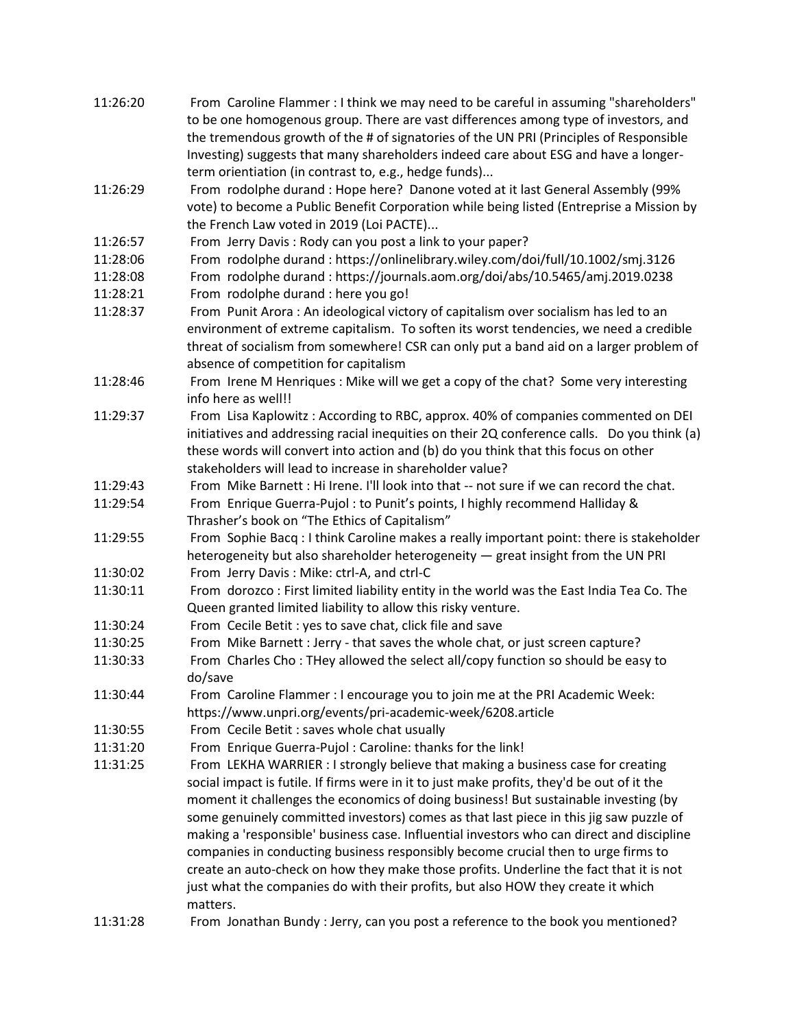| 11:26:20 | From Caroline Flammer : I think we may need to be careful in assuming "shareholders"<br>to be one homogenous group. There are vast differences among type of investors, and<br>the tremendous growth of the # of signatories of the UN PRI (Principles of Responsible<br>Investing) suggests that many shareholders indeed care about ESG and have a longer- |
|----------|--------------------------------------------------------------------------------------------------------------------------------------------------------------------------------------------------------------------------------------------------------------------------------------------------------------------------------------------------------------|
|          | term orientiation (in contrast to, e.g., hedge funds)                                                                                                                                                                                                                                                                                                        |
| 11:26:29 | From rodolphe durand: Hope here? Danone voted at it last General Assembly (99%<br>vote) to become a Public Benefit Corporation while being listed (Entreprise a Mission by<br>the French Law voted in 2019 (Loi PACTE)                                                                                                                                       |
| 11:26:57 | From Jerry Davis: Rody can you post a link to your paper?                                                                                                                                                                                                                                                                                                    |
|          |                                                                                                                                                                                                                                                                                                                                                              |
| 11:28:06 | From rodolphe durand: https://onlinelibrary.wiley.com/doi/full/10.1002/smj.3126                                                                                                                                                                                                                                                                              |
| 11:28:08 | From rodolphe durand: https://journals.aom.org/doi/abs/10.5465/amj.2019.0238                                                                                                                                                                                                                                                                                 |
| 11:28:21 | From rodolphe durand : here you go!                                                                                                                                                                                                                                                                                                                          |
| 11:28:37 | From Punit Arora: An ideological victory of capitalism over socialism has led to an                                                                                                                                                                                                                                                                          |
|          | environment of extreme capitalism. To soften its worst tendencies, we need a credible                                                                                                                                                                                                                                                                        |
|          | threat of socialism from somewhere! CSR can only put a band aid on a larger problem of                                                                                                                                                                                                                                                                       |
|          | absence of competition for capitalism                                                                                                                                                                                                                                                                                                                        |
| 11:28:46 | From Irene M Henriques: Mike will we get a copy of the chat? Some very interesting<br>info here as well!!                                                                                                                                                                                                                                                    |
| 11:29:37 | From Lisa Kaplowitz: According to RBC, approx. 40% of companies commented on DEI                                                                                                                                                                                                                                                                             |
|          | initiatives and addressing racial inequities on their 2Q conference calls. Do you think (a)                                                                                                                                                                                                                                                                  |
|          | these words will convert into action and (b) do you think that this focus on other                                                                                                                                                                                                                                                                           |
|          | stakeholders will lead to increase in shareholder value?                                                                                                                                                                                                                                                                                                     |
| 11:29:43 | From Mike Barnett : Hi Irene. I'll look into that -- not sure if we can record the chat.                                                                                                                                                                                                                                                                     |
| 11:29:54 | From Enrique Guerra-Pujol: to Punit's points, I highly recommend Halliday &                                                                                                                                                                                                                                                                                  |
|          | Thrasher's book on "The Ethics of Capitalism"                                                                                                                                                                                                                                                                                                                |
| 11:29:55 | From Sophie Bacq : I think Caroline makes a really important point: there is stakeholder                                                                                                                                                                                                                                                                     |
|          | heterogeneity but also shareholder heterogeneity - great insight from the UN PRI                                                                                                                                                                                                                                                                             |
| 11:30:02 | From Jerry Davis: Mike: ctrl-A, and ctrl-C                                                                                                                                                                                                                                                                                                                   |
| 11:30:11 | From dorozco: First limited liability entity in the world was the East India Tea Co. The                                                                                                                                                                                                                                                                     |
|          | Queen granted limited liability to allow this risky venture.                                                                                                                                                                                                                                                                                                 |
| 11:30:24 | From Cecile Betit: yes to save chat, click file and save                                                                                                                                                                                                                                                                                                     |
| 11:30:25 | From Mike Barnett : Jerry - that saves the whole chat, or just screen capture?                                                                                                                                                                                                                                                                               |
| 11:30:33 | From Charles Cho: THey allowed the select all/copy function so should be easy to                                                                                                                                                                                                                                                                             |
|          | do/save                                                                                                                                                                                                                                                                                                                                                      |
| 11:30:44 | From Caroline Flammer : I encourage you to join me at the PRI Academic Week:                                                                                                                                                                                                                                                                                 |
|          | https://www.unpri.org/events/pri-academic-week/6208.article                                                                                                                                                                                                                                                                                                  |
| 11:30:55 | From Cecile Betit : saves whole chat usually                                                                                                                                                                                                                                                                                                                 |
| 11:31:20 | From Enrique Guerra-Pujol: Caroline: thanks for the link!                                                                                                                                                                                                                                                                                                    |
| 11:31:25 | From LEKHA WARRIER : I strongly believe that making a business case for creating                                                                                                                                                                                                                                                                             |
|          | social impact is futile. If firms were in it to just make profits, they'd be out of it the                                                                                                                                                                                                                                                                   |
|          | moment it challenges the economics of doing business! But sustainable investing (by                                                                                                                                                                                                                                                                          |
|          | some genuinely committed investors) comes as that last piece in this jig saw puzzle of                                                                                                                                                                                                                                                                       |
|          | making a 'responsible' business case. Influential investors who can direct and discipline                                                                                                                                                                                                                                                                    |
|          | companies in conducting business responsibly become crucial then to urge firms to                                                                                                                                                                                                                                                                            |
|          | create an auto-check on how they make those profits. Underline the fact that it is not                                                                                                                                                                                                                                                                       |
|          | just what the companies do with their profits, but also HOW they create it which                                                                                                                                                                                                                                                                             |
|          | matters.                                                                                                                                                                                                                                                                                                                                                     |
| 11:31:28 | From Jonathan Bundy : Jerry, can you post a reference to the book you mentioned?                                                                                                                                                                                                                                                                             |
|          |                                                                                                                                                                                                                                                                                                                                                              |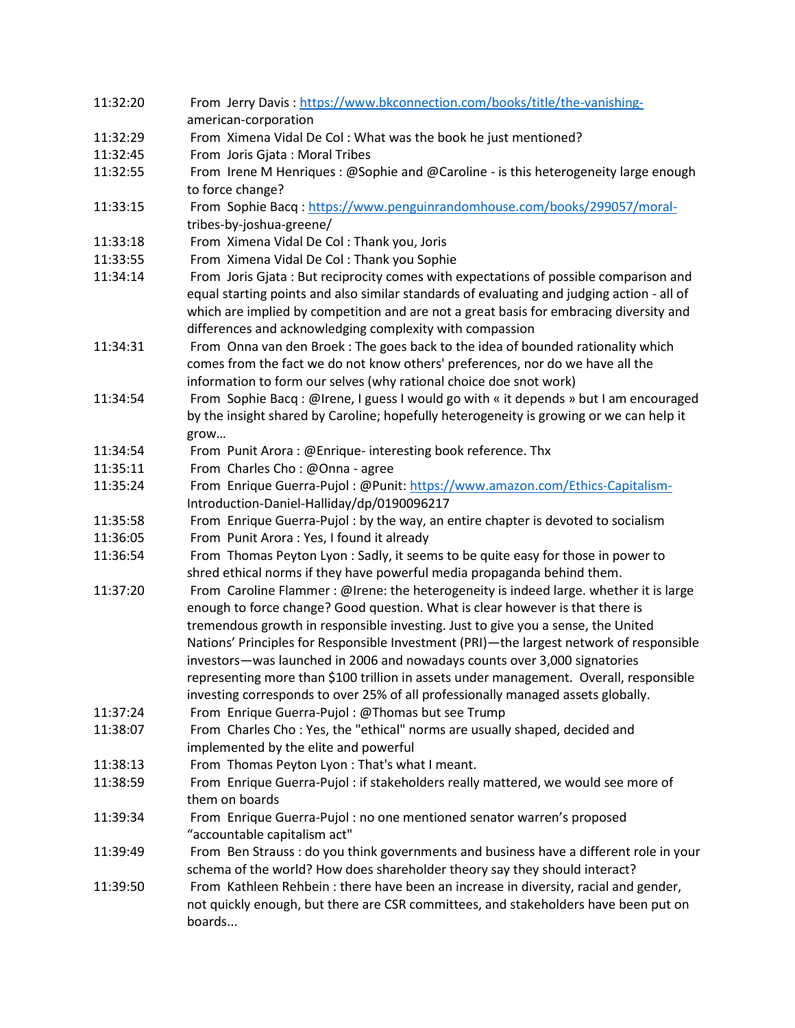| 11:32:20 | From Jerry Davis: https://www.bkconnection.com/books/title/the-vanishing-                  |
|----------|--------------------------------------------------------------------------------------------|
|          | american-corporation                                                                       |
| 11:32:29 | From Ximena Vidal De Col: What was the book he just mentioned?                             |
| 11:32:45 | From Joris Gjata: Moral Tribes                                                             |
| 11:32:55 | From Irene M Henriques : @Sophie and @Caroline - is this heterogeneity large enough        |
|          | to force change?                                                                           |
| 11:33:15 | From Sophie Bacq: https://www.penguinrandomhouse.com/books/299057/moral-                   |
|          | tribes-by-joshua-greene/                                                                   |
| 11:33:18 | From Ximena Vidal De Col: Thank you, Joris                                                 |
| 11:33:55 | From Ximena Vidal De Col: Thank you Sophie                                                 |
| 11:34:14 | From Joris Gjata: But reciprocity comes with expectations of possible comparison and       |
|          | equal starting points and also similar standards of evaluating and judging action - all of |
|          | which are implied by competition and are not a great basis for embracing diversity and     |
|          | differences and acknowledging complexity with compassion                                   |
| 11:34:31 | From Onna van den Broek : The goes back to the idea of bounded rationality which           |
|          | comes from the fact we do not know others' preferences, nor do we have all the             |
|          | information to form our selves (why rational choice doe snot work)                         |
| 11:34:54 | From Sophie Bacq: @Irene, I guess I would go with « it depends » but I am encouraged       |
|          | by the insight shared by Caroline; hopefully heterogeneity is growing or we can help it    |
|          | grow                                                                                       |
| 11:34:54 | From Punit Arora: @Enrique-interesting book reference. Thx                                 |
| 11:35:11 | From Charles Cho: @Onna - agree                                                            |
| 11:35:24 | From Enrique Guerra-Pujol: @Punit: https://www.amazon.com/Ethics-Capitalism-               |
|          | Introduction-Daniel-Halliday/dp/0190096217                                                 |
| 11:35:58 | From Enrique Guerra-Pujol : by the way, an entire chapter is devoted to socialism          |
| 11:36:05 | From Punit Arora: Yes, I found it already                                                  |
| 11:36:54 | From Thomas Peyton Lyon : Sadly, it seems to be quite easy for those in power to           |
|          | shred ethical norms if they have powerful media propaganda behind them.                    |
| 11:37:20 | From Caroline Flammer : @Irene: the heterogeneity is indeed large. whether it is large     |
|          | enough to force change? Good question. What is clear however is that there is              |
|          | tremendous growth in responsible investing. Just to give you a sense, the United           |
|          | Nations' Principles for Responsible Investment (PRI)-the largest network of responsible    |
|          | investors-was launched in 2006 and nowadays counts over 3,000 signatories                  |
|          | representing more than \$100 trillion in assets under management. Overall, responsible     |
|          | investing corresponds to over 25% of all professionally managed assets globally.           |
| 11:37:24 | From Enrique Guerra-Pujol: @Thomas but see Trump                                           |
| 11:38:07 | From Charles Cho: Yes, the "ethical" norms are usually shaped, decided and                 |
|          | implemented by the elite and powerful                                                      |
| 11:38:13 | From Thomas Peyton Lyon: That's what I meant.                                              |
| 11:38:59 | From Enrique Guerra-Pujol : if stakeholders really mattered, we would see more of          |
|          | them on boards                                                                             |
| 11:39:34 | From Enrique Guerra-Pujol : no one mentioned senator warren's proposed                     |
|          | "accountable capitalism act"                                                               |
| 11:39:49 | From Ben Strauss : do you think governments and business have a different role in your     |
|          | schema of the world? How does shareholder theory say they should interact?                 |
| 11:39:50 | From Kathleen Rehbein : there have been an increase in diversity, racial and gender,       |
|          | not quickly enough, but there are CSR committees, and stakeholders have been put on        |
|          | boards                                                                                     |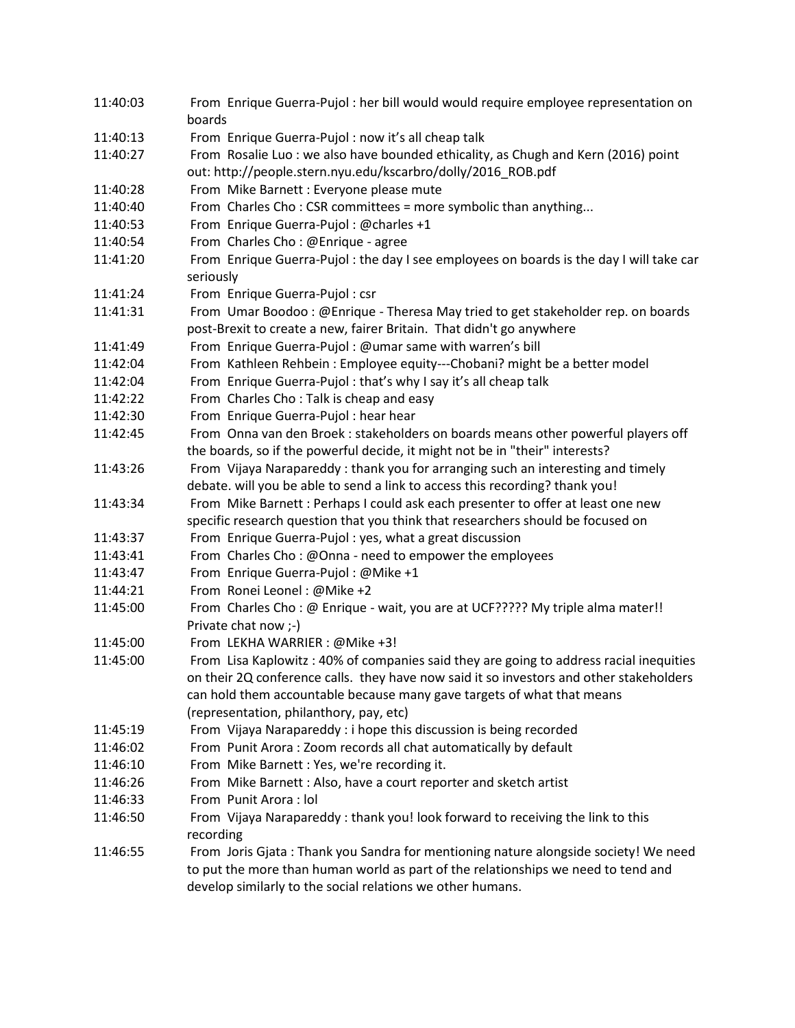| 11:40:03 | From Enrique Guerra-Pujol: her bill would would require employee representation on       |
|----------|------------------------------------------------------------------------------------------|
|          | boards                                                                                   |
| 11:40:13 | From Enrique Guerra-Pujol: now it's all cheap talk                                       |
| 11:40:27 | From Rosalie Luo: we also have bounded ethicality, as Chugh and Kern (2016) point        |
|          | out: http://people.stern.nyu.edu/kscarbro/dolly/2016_ROB.pdf                             |
| 11:40:28 | From Mike Barnett : Everyone please mute                                                 |
| 11:40:40 | From Charles Cho: CSR committees = more symbolic than anything                           |
| 11:40:53 | From Enrique Guerra-Pujol: @charles +1                                                   |
| 11:40:54 | From Charles Cho: @Enrique - agree                                                       |
| 11:41:20 | From Enrique Guerra-Pujol : the day I see employees on boards is the day I will take car |
|          | seriously                                                                                |
| 11:41:24 | From Enrique Guerra-Pujol: csr                                                           |
| 11:41:31 | From Umar Boodoo: @Enrique - Theresa May tried to get stakeholder rep. on boards         |
|          | post-Brexit to create a new, fairer Britain. That didn't go anywhere                     |
| 11:41:49 | From Enrique Guerra-Pujol: @umar same with warren's bill                                 |
| 11:42:04 | From Kathleen Rehbein: Employee equity---Chobani? might be a better model                |
| 11:42:04 | From Enrique Guerra-Pujol: that's why I say it's all cheap talk                          |
| 11:42:22 | From Charles Cho: Talk is cheap and easy                                                 |
| 11:42:30 | From Enrique Guerra-Pujol: hear hear                                                     |
| 11:42:45 | From Onna van den Broek : stakeholders on boards means other powerful players off        |
|          | the boards, so if the powerful decide, it might not be in "their" interests?             |
| 11:43:26 | From Vijaya Narapareddy: thank you for arranging such an interesting and timely          |
|          | debate. will you be able to send a link to access this recording? thank you!             |
| 11:43:34 | From Mike Barnett : Perhaps I could ask each presenter to offer at least one new         |
|          | specific research question that you think that researchers should be focused on          |
| 11:43:37 | From Enrique Guerra-Pujol: yes, what a great discussion                                  |
| 11:43:41 | From Charles Cho: @Onna - need to empower the employees                                  |
| 11:43:47 | From Enrique Guerra-Pujol: @Mike +1                                                      |
| 11:44:21 | From Ronei Leonel: @Mike +2                                                              |
| 11:45:00 | From Charles Cho: @ Enrique - wait, you are at UCF????? My triple alma mater!!           |
|          | Private chat now ;-)                                                                     |
| 11:45:00 | From LEKHA WARRIER : @Mike +3!                                                           |
| 11:45:00 | From Lisa Kaplowitz: 40% of companies said they are going to address racial inequities   |
|          | on their 2Q conference calls. they have now said it so investors and other stakeholders  |
|          | can hold them accountable because many gave targets of what that means                   |
|          | (representation, philanthory, pay, etc)                                                  |
| 11:45:19 | From Vijaya Narapareddy : i hope this discussion is being recorded                       |
| 11:46:02 | From Punit Arora: Zoom records all chat automatically by default                         |
| 11:46:10 | From Mike Barnett : Yes, we're recording it.                                             |
| 11:46:26 | From Mike Barnett: Also, have a court reporter and sketch artist                         |
| 11:46:33 | From Punit Arora : lol                                                                   |
| 11:46:50 | From Vijaya Narapareddy: thank you! look forward to receiving the link to this           |
|          | recording                                                                                |
| 11:46:55 | From Joris Gjata: Thank you Sandra for mentioning nature alongside society! We need      |
|          | to put the more than human world as part of the relationships we need to tend and        |
|          | develop similarly to the social relations we other humans.                               |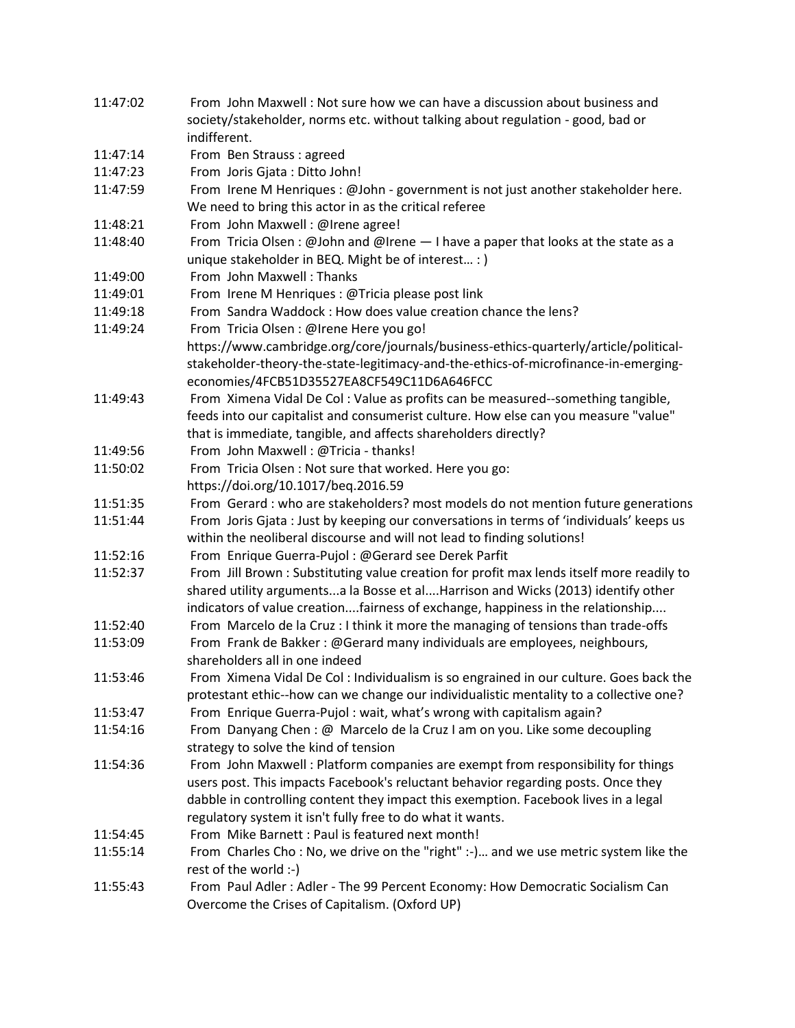| 11:47:02 | From John Maxwell: Not sure how we can have a discussion about business and               |
|----------|-------------------------------------------------------------------------------------------|
|          | society/stakeholder, norms etc. without talking about regulation - good, bad or           |
|          | indifferent.                                                                              |
| 11:47:14 | From Ben Strauss : agreed                                                                 |
| 11:47:23 | From Joris Gjata : Ditto John!                                                            |
| 11:47:59 | From Irene M Henriques : @John - government is not just another stakeholder here.         |
|          | We need to bring this actor in as the critical referee                                    |
| 11:48:21 | From John Maxwell : @Irene agree!                                                         |
| 11:48:40 | From Tricia Olsen: @John and @Irene - I have a paper that looks at the state as a         |
|          | unique stakeholder in BEQ. Might be of interest : )                                       |
| 11:49:00 | From John Maxwell: Thanks                                                                 |
| 11:49:01 | From Irene M Henriques : @Tricia please post link                                         |
| 11:49:18 | From Sandra Waddock: How does value creation chance the lens?                             |
| 11:49:24 | From Tricia Olsen : @Irene Here you go!                                                   |
|          | https://www.cambridge.org/core/journals/business-ethics-quarterly/article/political-      |
|          | stakeholder-theory-the-state-legitimacy-and-the-ethics-of-microfinance-in-emerging-       |
|          | economies/4FCB51D35527EA8CF549C11D6A646FCC                                                |
| 11:49:43 | From Ximena Vidal De Col: Value as profits can be measured--something tangible,           |
|          | feeds into our capitalist and consumerist culture. How else can you measure "value"       |
|          | that is immediate, tangible, and affects shareholders directly?                           |
| 11:49:56 | From John Maxwell: @Tricia - thanks!                                                      |
| 11:50:02 | From Tricia Olsen : Not sure that worked. Here you go:                                    |
|          | https://doi.org/10.1017/beq.2016.59                                                       |
| 11:51:35 | From Gerard : who are stakeholders? most models do not mention future generations         |
| 11:51:44 | From Joris Gjata : Just by keeping our conversations in terms of 'individuals' keeps us   |
|          | within the neoliberal discourse and will not lead to finding solutions!                   |
| 11:52:16 | From Enrique Guerra-Pujol: @Gerard see Derek Parfit                                       |
| 11:52:37 | From Jill Brown : Substituting value creation for profit max lends itself more readily to |
|          | shared utility argumentsa la Bosse et alHarrison and Wicks (2013) identify other          |
|          | indicators of value creationfairness of exchange, happiness in the relationship           |
| 11:52:40 | From Marcelo de la Cruz : I think it more the managing of tensions than trade-offs        |
| 11:53:09 | From Frank de Bakker: @Gerard many individuals are employees, neighbours,                 |
|          | shareholders all in one indeed                                                            |
| 11:53:46 | From Ximena Vidal De Col: Individualism is so engrained in our culture. Goes back the     |
|          | protestant ethic--how can we change our individualistic mentality to a collective one?    |
| 11:53:47 | From Enrique Guerra-Pujol: wait, what's wrong with capitalism again?                      |
| 11:54:16 | From Danyang Chen: @ Marcelo de la Cruz I am on you. Like some decoupling                 |
|          | strategy to solve the kind of tension                                                     |
| 11:54:36 | From John Maxwell: Platform companies are exempt from responsibility for things           |
|          | users post. This impacts Facebook's reluctant behavior regarding posts. Once they         |
|          | dabble in controlling content they impact this exemption. Facebook lives in a legal       |
|          | regulatory system it isn't fully free to do what it wants.                                |
| 11:54:45 | From Mike Barnett: Paul is featured next month!                                           |
| 11:55:14 | From Charles Cho: No, we drive on the "right" :-) and we use metric system like the       |
|          | rest of the world :-)                                                                     |
| 11:55:43 | From Paul Adler : Adler - The 99 Percent Economy: How Democratic Socialism Can            |
|          | Overcome the Crises of Capitalism. (Oxford UP)                                            |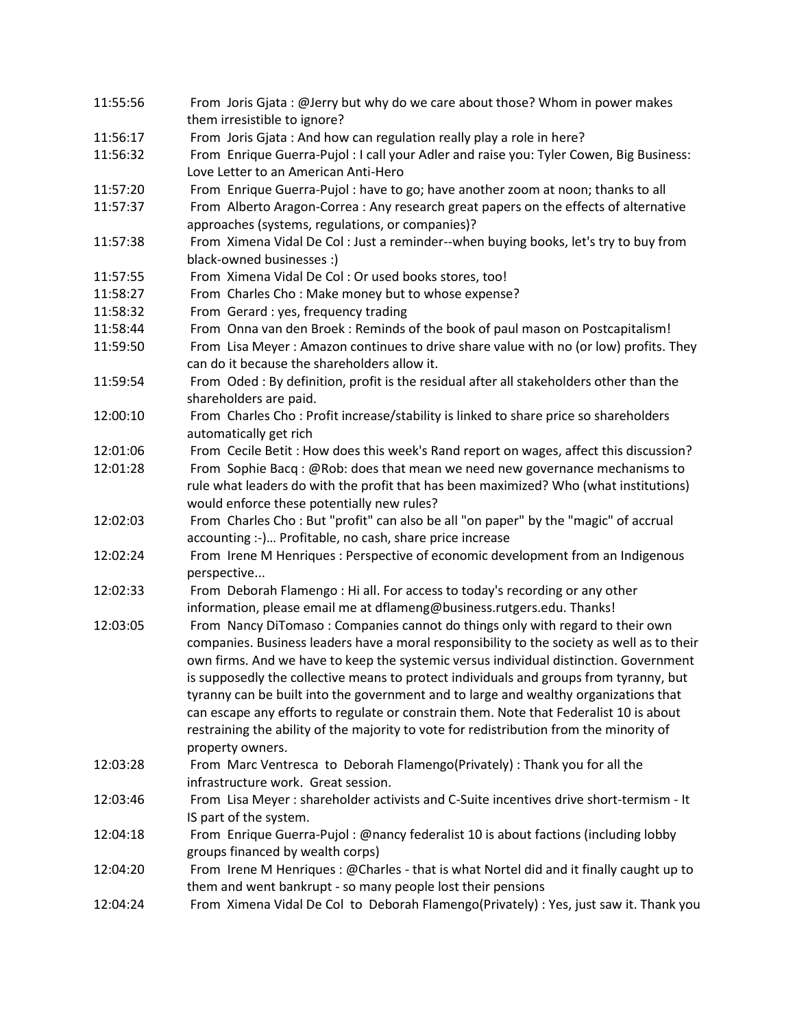| 11:55:56 | From Joris Gjata: @Jerry but why do we care about those? Whom in power makes               |
|----------|--------------------------------------------------------------------------------------------|
|          | them irresistible to ignore?                                                               |
| 11:56:17 | From Joris Gjata: And how can regulation really play a role in here?                       |
| 11:56:32 | From Enrique Guerra-Pujol : I call your Adler and raise you: Tyler Cowen, Big Business:    |
|          | Love Letter to an American Anti-Hero                                                       |
| 11:57:20 | From Enrique Guerra-Pujol: have to go; have another zoom at noon; thanks to all            |
| 11:57:37 | From Alberto Aragon-Correa : Any research great papers on the effects of alternative       |
|          | approaches (systems, regulations, or companies)?                                           |
| 11:57:38 | From Ximena Vidal De Col: Just a reminder--when buying books, let's try to buy from        |
|          | black-owned businesses :)                                                                  |
| 11:57:55 | From Ximena Vidal De Col: Or used books stores, too!                                       |
| 11:58:27 | From Charles Cho: Make money but to whose expense?                                         |
| 11:58:32 | From Gerard : yes, frequency trading                                                       |
| 11:58:44 | From Onna van den Broek : Reminds of the book of paul mason on Postcapitalism!             |
| 11:59:50 | From Lisa Meyer: Amazon continues to drive share value with no (or low) profits. They      |
|          | can do it because the shareholders allow it.                                               |
| 11:59:54 | From Oded: By definition, profit is the residual after all stakeholders other than the     |
|          | shareholders are paid.                                                                     |
| 12:00:10 | From Charles Cho: Profit increase/stability is linked to share price so shareholders       |
|          | automatically get rich                                                                     |
| 12:01:06 | From Cecile Betit : How does this week's Rand report on wages, affect this discussion?     |
| 12:01:28 | From Sophie Bacq: @Rob: does that mean we need new governance mechanisms to                |
|          | rule what leaders do with the profit that has been maximized? Who (what institutions)      |
|          | would enforce these potentially new rules?                                                 |
| 12:02:03 | From Charles Cho: But "profit" can also be all "on paper" by the "magic" of accrual        |
|          | accounting :-) Profitable, no cash, share price increase                                   |
| 12:02:24 | From Irene M Henriques : Perspective of economic development from an Indigenous            |
|          | perspective                                                                                |
| 12:02:33 | From Deborah Flamengo: Hi all. For access to today's recording or any other                |
|          | information, please email me at dflameng@business.rutgers.edu. Thanks!                     |
| 12:03:05 | From Nancy DiTomaso: Companies cannot do things only with regard to their own              |
|          | companies. Business leaders have a moral responsibility to the society as well as to their |
|          | own firms. And we have to keep the systemic versus individual distinction. Government      |
|          | is supposedly the collective means to protect individuals and groups from tyranny, but     |
|          | tyranny can be built into the government and to large and wealthy organizations that       |
|          | can escape any efforts to regulate or constrain them. Note that Federalist 10 is about     |
|          | restraining the ability of the majority to vote for redistribution from the minority of    |
|          | property owners.                                                                           |
| 12:03:28 | From Marc Ventresca to Deborah Flamengo(Privately) : Thank you for all the                 |
|          | infrastructure work. Great session.                                                        |
| 12:03:46 | From Lisa Meyer : shareholder activists and C-Suite incentives drive short-termism - It    |
|          | IS part of the system.                                                                     |
| 12:04:18 | From Enrique Guerra-Pujol: @nancy federalist 10 is about factions (including lobby         |
|          | groups financed by wealth corps)                                                           |
| 12:04:20 | From Irene M Henriques : @Charles - that is what Nortel did and it finally caught up to    |
|          | them and went bankrupt - so many people lost their pensions                                |
| 12:04:24 | From Ximena Vidal De Col to Deborah Flamengo(Privately) : Yes, just saw it. Thank you      |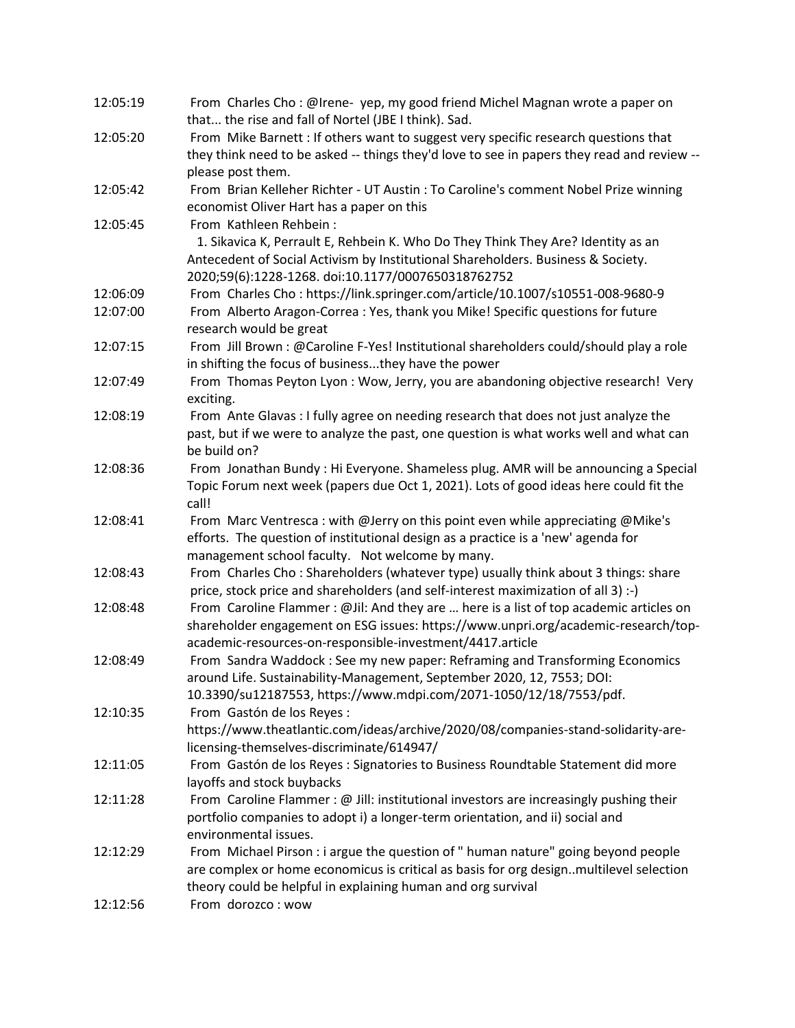| 12:05:19 | From Charles Cho: @Irene-yep, my good friend Michel Magnan wrote a paper on<br>that the rise and fall of Nortel (JBE I think). Sad. |
|----------|-------------------------------------------------------------------------------------------------------------------------------------|
| 12:05:20 | From Mike Barnett : If others want to suggest very specific research questions that                                                 |
|          | they think need to be asked -- things they'd love to see in papers they read and review --<br>please post them.                     |
| 12:05:42 |                                                                                                                                     |
|          | From Brian Kelleher Richter - UT Austin : To Caroline's comment Nobel Prize winning                                                 |
| 12:05:45 | economist Oliver Hart has a paper on this<br>From Kathleen Rehbein:                                                                 |
|          |                                                                                                                                     |
|          | 1. Sikavica K, Perrault E, Rehbein K. Who Do They Think They Are? Identity as an                                                    |
|          | Antecedent of Social Activism by Institutional Shareholders. Business & Society.                                                    |
|          | 2020;59(6):1228-1268. doi:10.1177/0007650318762752                                                                                  |
| 12:06:09 | From Charles Cho: https://link.springer.com/article/10.1007/s10551-008-9680-9                                                       |
| 12:07:00 | From Alberto Aragon-Correa: Yes, thank you Mike! Specific questions for future<br>research would be great                           |
| 12:07:15 | From Jill Brown : @Caroline F-Yes! Institutional shareholders could/should play a role                                              |
|          | in shifting the focus of businessthey have the power                                                                                |
| 12:07:49 | From Thomas Peyton Lyon: Wow, Jerry, you are abandoning objective research! Very<br>exciting.                                       |
| 12:08:19 | From Ante Glavas : I fully agree on needing research that does not just analyze the                                                 |
|          | past, but if we were to analyze the past, one question is what works well and what can                                              |
|          | be build on?                                                                                                                        |
| 12:08:36 | From Jonathan Bundy: Hi Everyone. Shameless plug. AMR will be announcing a Special                                                  |
|          | Topic Forum next week (papers due Oct 1, 2021). Lots of good ideas here could fit the<br>call!                                      |
| 12:08:41 | From Marc Ventresca: with @Jerry on this point even while appreciating @Mike's                                                      |
|          | efforts. The question of institutional design as a practice is a 'new' agenda for                                                   |
|          | management school faculty. Not welcome by many.                                                                                     |
| 12:08:43 | From Charles Cho: Shareholders (whatever type) usually think about 3 things: share                                                  |
|          | price, stock price and shareholders (and self-interest maximization of all 3) :-)                                                   |
| 12:08:48 | From Caroline Flammer: @Jil: And they are  here is a list of top academic articles on                                               |
|          | shareholder engagement on ESG issues: https://www.unpri.org/academic-research/top-                                                  |
|          | academic-resources-on-responsible-investment/4417.article                                                                           |
| 12:08:49 | From Sandra Waddock: See my new paper: Reframing and Transforming Economics                                                         |
|          | around Life. Sustainability-Management, September 2020, 12, 7553; DOI:                                                              |
|          | 10.3390/su12187553, https://www.mdpi.com/2071-1050/12/18/7553/pdf.                                                                  |
| 12:10:35 | From Gastón de los Reyes :                                                                                                          |
|          | https://www.theatlantic.com/ideas/archive/2020/08/companies-stand-solidarity-are-                                                   |
|          | licensing-themselves-discriminate/614947/                                                                                           |
| 12:11:05 | From Gastón de los Reyes : Signatories to Business Roundtable Statement did more                                                    |
|          | layoffs and stock buybacks                                                                                                          |
| 12:11:28 | From Caroline Flammer : @ Jill: institutional investors are increasingly pushing their                                              |
|          | portfolio companies to adopt i) a longer-term orientation, and ii) social and                                                       |
|          | environmental issues.                                                                                                               |
| 12:12:29 | From Michael Pirson : i argue the question of " human nature" going beyond people                                                   |
|          | are complex or home economicus is critical as basis for org designmultilevel selection                                              |
|          | theory could be helpful in explaining human and org survival                                                                        |
| 12:12:56 | From dorozco: wow                                                                                                                   |
|          |                                                                                                                                     |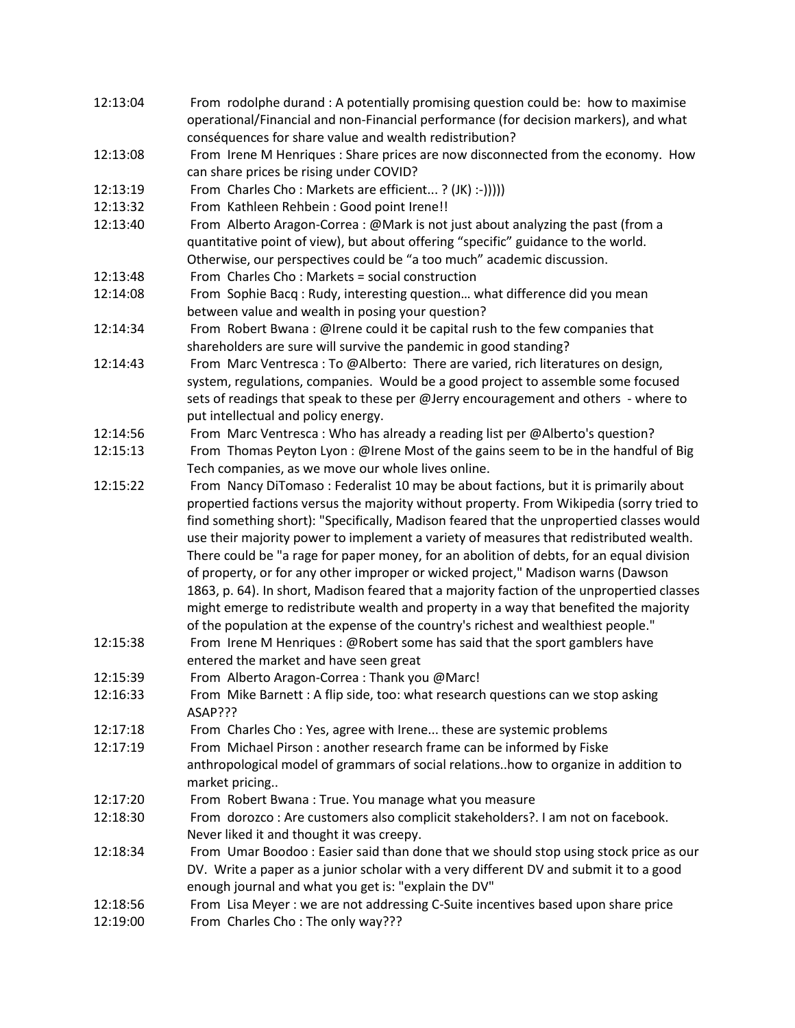- 12:13:04 From rodolphe durand : A potentially promising question could be: how to maximise operational/Financial and non-Financial performance (for decision markers), and what conséquences for share value and wealth redistribution?
- 12:13:08 From Irene M Henriques : Share prices are now disconnected from the economy. How can share prices be rising under COVID?
- 12:13:19 From Charles Cho : Markets are efficient... ? (JK) :-))))
- 12:13:32 From Kathleen Rehbein : Good point Irene!!
- 12:13:40 From Alberto Aragon-Correa : @Mark is not just about analyzing the past (from a quantitative point of view), but about offering "specific" guidance to the world. Otherwise, our perspectives could be "a too much" academic discussion.
- 12:13:48 From Charles Cho : Markets = social construction
- 12:14:08 From Sophie Bacq : Rudy, interesting question… what difference did you mean between value and wealth in posing your question?
- 12:14:34 From Robert Bwana : @Irene could it be capital rush to the few companies that shareholders are sure will survive the pandemic in good standing?
- 12:14:43 From Marc Ventresca : To @Alberto: There are varied, rich literatures on design, system, regulations, companies. Would be a good project to assemble some focused sets of readings that speak to these per @Jerry encouragement and others - where to put intellectual and policy energy.
- 12:14:56 From Marc Ventresca : Who has already a reading list per @Alberto's question?
- 12:15:13 From Thomas Peyton Lyon : @Irene Most of the gains seem to be in the handful of Big Tech companies, as we move our whole lives online.
- 12:15:22 From Nancy DiTomaso : Federalist 10 may be about factions, but it is primarily about propertied factions versus the majority without property. From Wikipedia (sorry tried to find something short): "Specifically, Madison feared that the unpropertied classes would use their majority power to implement a variety of measures that redistributed wealth. There could be "a rage for paper money, for an abolition of debts, for an equal division of property, or for any other improper or wicked project," Madison warns (Dawson 1863, p. 64). In short, Madison feared that a majority faction of the unpropertied classes might emerge to redistribute wealth and property in a way that benefited the majority of the population at the expense of the country's richest and wealthiest people."
- 12:15:38 From Irene M Henriques : @Robert some has said that the sport gamblers have entered the market and have seen great
- 12:15:39 From Alberto Aragon-Correa : Thank you @Marc!
- 12:16:33 From Mike Barnett : A flip side, too: what research questions can we stop asking ASAP???
- 12:17:18 From Charles Cho : Yes, agree with Irene... these are systemic problems
- 12:17:19 From Michael Pirson : another research frame can be informed by Fiske anthropological model of grammars of social relations..how to organize in addition to market pricing..
- 12:17:20 From Robert Bwana : True. You manage what you measure
- 12:18:30 From dorozco : Are customers also complicit stakeholders?. I am not on facebook. Never liked it and thought it was creepy.
- 12:18:34 From Umar Boodoo : Easier said than done that we should stop using stock price as our DV. Write a paper as a junior scholar with a very different DV and submit it to a good enough journal and what you get is: "explain the DV"
- 12:18:56 From Lisa Meyer : we are not addressing C-Suite incentives based upon share price
- 12:19:00 From Charles Cho : The only way???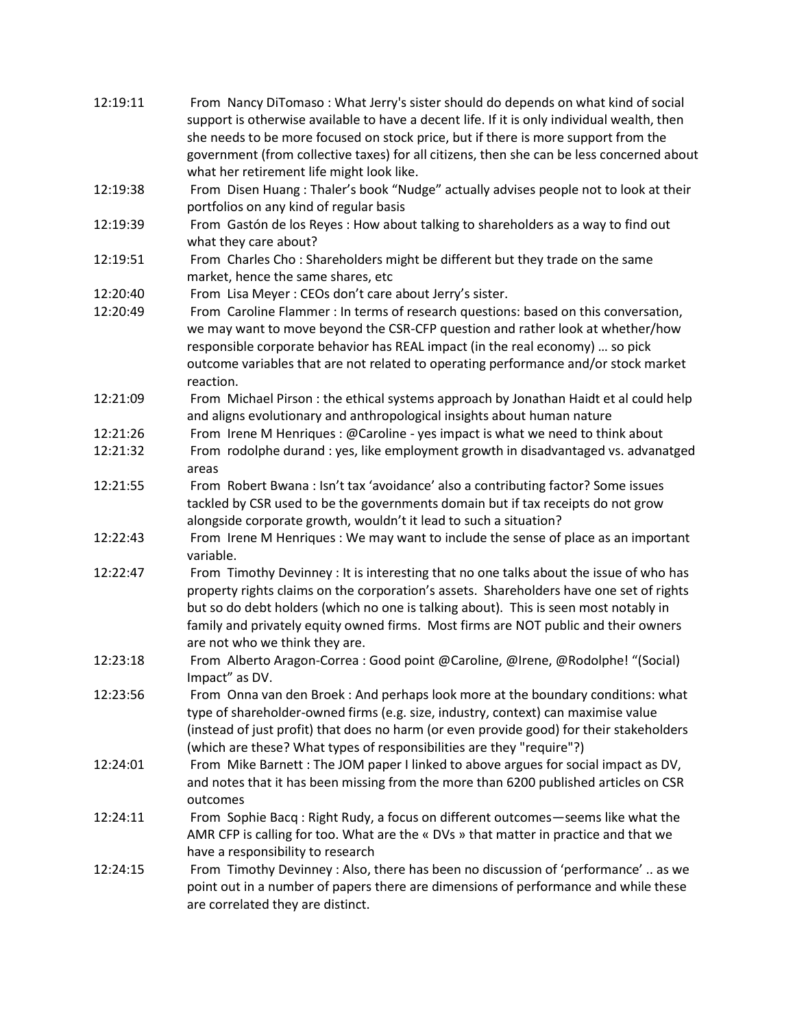| 12:19:11 | From Nancy DiTomaso: What Jerry's sister should do depends on what kind of social                                                                                                                                                                                                                                                                                                                  |
|----------|----------------------------------------------------------------------------------------------------------------------------------------------------------------------------------------------------------------------------------------------------------------------------------------------------------------------------------------------------------------------------------------------------|
|          | support is otherwise available to have a decent life. If it is only individual wealth, then                                                                                                                                                                                                                                                                                                        |
|          | she needs to be more focused on stock price, but if there is more support from the                                                                                                                                                                                                                                                                                                                 |
|          | government (from collective taxes) for all citizens, then she can be less concerned about                                                                                                                                                                                                                                                                                                          |
|          | what her retirement life might look like.                                                                                                                                                                                                                                                                                                                                                          |
| 12:19:38 | From Disen Huang: Thaler's book "Nudge" actually advises people not to look at their                                                                                                                                                                                                                                                                                                               |
|          | portfolios on any kind of regular basis                                                                                                                                                                                                                                                                                                                                                            |
| 12:19:39 | From Gastón de los Reyes : How about talking to shareholders as a way to find out<br>what they care about?                                                                                                                                                                                                                                                                                         |
| 12:19:51 | From Charles Cho: Shareholders might be different but they trade on the same<br>market, hence the same shares, etc                                                                                                                                                                                                                                                                                 |
| 12:20:40 | From Lisa Meyer: CEOs don't care about Jerry's sister.                                                                                                                                                                                                                                                                                                                                             |
| 12:20:49 | From Caroline Flammer : In terms of research questions: based on this conversation,<br>we may want to move beyond the CSR-CFP question and rather look at whether/how<br>responsible corporate behavior has REAL impact (in the real economy)  so pick<br>outcome variables that are not related to operating performance and/or stock market                                                      |
|          | reaction.                                                                                                                                                                                                                                                                                                                                                                                          |
| 12:21:09 | From Michael Pirson: the ethical systems approach by Jonathan Haidt et al could help                                                                                                                                                                                                                                                                                                               |
|          | and aligns evolutionary and anthropological insights about human nature                                                                                                                                                                                                                                                                                                                            |
| 12:21:26 | From Irene M Henriques: @Caroline - yes impact is what we need to think about                                                                                                                                                                                                                                                                                                                      |
| 12:21:32 | From rodolphe durand: yes, like employment growth in disadvantaged vs. advanatged<br>areas                                                                                                                                                                                                                                                                                                         |
| 12:21:55 | From Robert Bwana : Isn't tax 'avoidance' also a contributing factor? Some issues                                                                                                                                                                                                                                                                                                                  |
|          | tackled by CSR used to be the governments domain but if tax receipts do not grow                                                                                                                                                                                                                                                                                                                   |
|          | alongside corporate growth, wouldn't it lead to such a situation?                                                                                                                                                                                                                                                                                                                                  |
| 12:22:43 | From Irene M Henriques: We may want to include the sense of place as an important<br>variable.                                                                                                                                                                                                                                                                                                     |
| 12:22:47 | From Timothy Devinney : It is interesting that no one talks about the issue of who has<br>property rights claims on the corporation's assets. Shareholders have one set of rights<br>but so do debt holders (which no one is talking about). This is seen most notably in<br>family and privately equity owned firms. Most firms are NOT public and their owners<br>are not who we think they are. |
| 12:23:18 | From Alberto Aragon-Correa : Good point @Caroline, @Irene, @Rodolphe! "(Social)<br>Impact" as DV.                                                                                                                                                                                                                                                                                                  |
| 12:23:56 | From Onna van den Broek : And perhaps look more at the boundary conditions: what<br>type of shareholder-owned firms (e.g. size, industry, context) can maximise value<br>(instead of just profit) that does no harm (or even provide good) for their stakeholders<br>(which are these? What types of responsibilities are they "require"?)                                                         |
| 12:24:01 | From Mike Barnett : The JOM paper I linked to above argues for social impact as DV,<br>and notes that it has been missing from the more than 6200 published articles on CSR<br>outcomes                                                                                                                                                                                                            |
| 12:24:11 | From Sophie Bacq: Right Rudy, a focus on different outcomes-seems like what the<br>AMR CFP is calling for too. What are the « DVs » that matter in practice and that we                                                                                                                                                                                                                            |
|          | have a responsibility to research                                                                                                                                                                                                                                                                                                                                                                  |
| 12:24:15 | From Timothy Devinney: Also, there has been no discussion of 'performance'  as we<br>point out in a number of papers there are dimensions of performance and while these<br>are correlated they are distinct.                                                                                                                                                                                      |